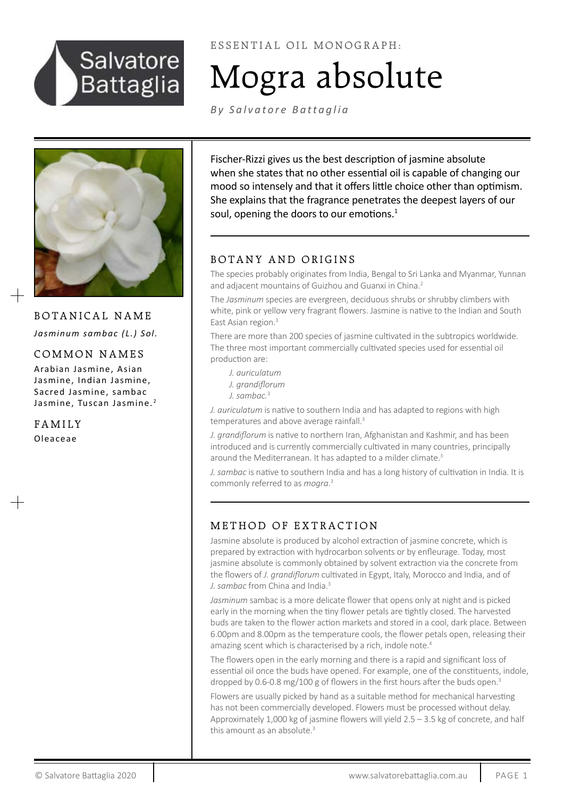

ESSENTIAL OIL MONOGRAPH:

# Mogra absolute

*[By Salvatore Battaglia](http://http://www.salvatorebattaglia.com.au/category/essential-oil-monographs/)*



BOTANICAL NAME *Jasminum sambac (L.) Sol.* 

# COMMON NAMES

Arabian Jasmine, Asian Jasmine, Indian Jasmine, Sacred Jasmine, sambac Jasmine, Tuscan Jasmine.<sup>2</sup>

FAMILY Oleaceae

Fischer-Rizzi gives us the best description of jasmine absolute when she states that no other essential oil is capable of changing our mood so intensely and that it offers little choice other than optimism. She explains that the fragrance penetrates the deepest layers of our soul, opening the doors to our emotions.<sup>1</sup>

# BOTANY AND ORIGINS

The species probably originates from India, Bengal to Sri Lanka and Myanmar, Yunnan and adjacent mountains of Guizhou and Guanxi in China.<sup>2</sup>

The *Jasminum* species are evergreen, deciduous shrubs or shrubby climbers with white, pink or yellow very fragrant flowers. Jasmine is native to the Indian and South East Asian region.<sup>3</sup>

There are more than 200 species of jasmine cultivated in the subtropics worldwide. The three most important commercially cultivated species used for essential oil production are:

*J. auriculatum J. grandiflorum J. sambac.*<sup>3</sup>

*J. auriculatum* is native to southern India and has adapted to regions with high temperatures and above average rainfall.<sup>3</sup>

*J. grandiflorum* is native to northern Iran, Afghanistan and Kashmir, and has been introduced and is currently commercially cultivated in many countries, principally around the Mediterranean. It has adapted to a milder climate.<sup>3</sup>

*J. sambac* is native to southern India and has a long history of cultivation in India. It is commonly referred to as *mogra*. 3

# METHOD OF EXTRACTION

Jasmine absolute is produced by alcohol extraction of jasmine concrete, which is prepared by extraction with hydrocarbon solvents or by enfleurage. Today, most jasmine absolute is commonly obtained by solvent extraction via the concrete from the flowers of *J. grandiflorum* cultivated in Egypt, Italy, Morocco and India, and of *J. sambac* from China and India.<sup>3</sup>

*Jasminum* sambac is a more delicate flower that opens only at night and is picked early in the morning when the tiny flower petals are tightly closed. The harvested buds are taken to the flower action markets and stored in a cool, dark place. Between 6.00pm and 8.00pm as the temperature cools, the flower petals open, releasing their amazing scent which is characterised by a rich, indole note.<sup>4</sup>

The flowers open in the early morning and there is a rapid and significant loss of essential oil once the buds have opened. For example, one of the constituents, indole, dropped by 0.6-0.8 mg/100 g of flowers in the first hours after the buds open.<sup>3</sup>

Flowers are usually picked by hand as a suitable method for mechanical harvesting has not been commercially developed. Flowers must be processed without delay. Approximately 1,000 kg of jasmine flowers will yield 2.5 – 3.5 kg of concrete, and half this amount as an absolute.<sup>3</sup>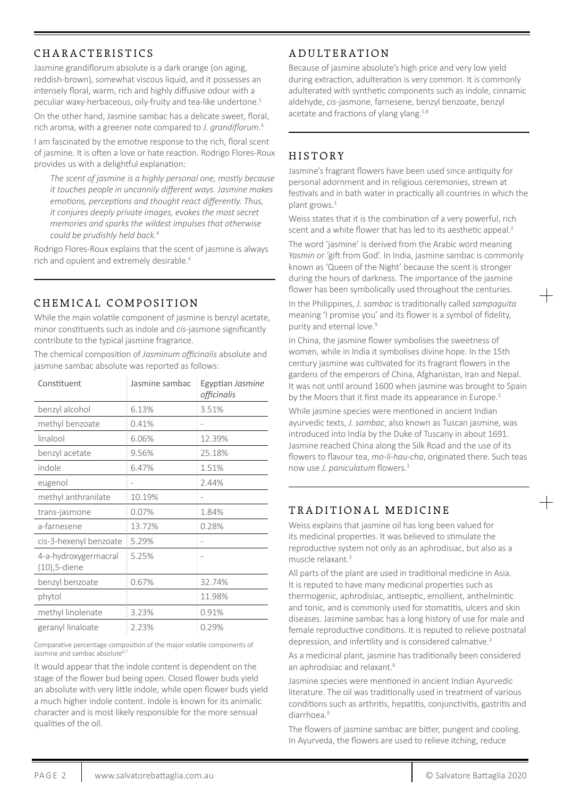# CHARACTERISTICS

Jasmine grandiflorum absolute is a dark orange (on aging, reddish-brown), somewhat viscous liquid, and it possesses an intensely floral, warm, rich and highly diffusive odour with a peculiar waxy-herbaceous, oily-fruity and tea-like undertone.5

On the other hand, Jasmine sambac has a delicate sweet, floral, rich aroma, with a greener note compared to *J. grandiflorum*. 4

I am fascinated by the emotive response to the rich, floral scent of jasmine. It is often a love or hate reaction. Rodrigo Flores-Roux provides us with a delightful explanation:

*The scent of jasmine is a highly personal one, mostly because it touches people in uncannily different ways. Jasmine makes emotions, perceptions and thought react differently. Thus, it conjures deeply private images, evokes the most secret memories and sparks the wildest impulses that otherwise could be prudishly held back.<sup>4</sup>*

Rodrigo Flores-Roux explains that the scent of jasmine is always rich and opulent and extremely desirable.<sup>4</sup>

## CHEMICAL COMPOSITION

While the main volatile component of jasmine is benzyl acetate, minor constituents such as indole and *cis*-jasmone significantly contribute to the typical jasmine fragrance.

The chemical composition of *Jasminum officinalis* absolute and jasmine sambac absolute was reported as follows:

| Constituent                          | Jasmine sambac | Egyptian Jasmine<br>officinalis |
|--------------------------------------|----------------|---------------------------------|
| benzyl alcohol                       | 6.13%          | 3.51%                           |
| methyl benzoate                      | 0.41%          |                                 |
| linalool                             | 6.06%          | 12.39%                          |
| benzyl acetate                       | 9.56%          | 25.18%                          |
| indole                               | 6.47%          | 1.51%                           |
| eugenol                              |                | 2.44%                           |
| methyl anthranilate                  | 10.19%         |                                 |
| trans-jasmone                        | 0.07%          | 1.84%                           |
| a-farnesene                          | 13.72%         | 0.28%                           |
| cis-3-hexenyl benzoate               | 5.29%          |                                 |
| 4-a-hydroxygermacral<br>(10),5-diene | 5.25%          |                                 |
| benzyl benzoate                      | 0.67%          | 32.74%                          |
| phytol                               |                | 11.98%                          |
| methyl linolenate                    | 3.23%          | 0.91%                           |
| geranyl linaloate                    | 2.23%          | 0.29%                           |

Comparative percentage composition of the major volatile components of Jasmine and sambac absolute<sup>6,7</sup>

It would appear that the indole content is dependent on the stage of the flower bud being open. Closed flower buds yield an absolute with very little indole, while open flower buds yield a much higher indole content. Indole is known for its animalic character and is most likely responsible for the more sensual qualities of the oil.

## ADULTERATION

Because of jasmine absolute's high price and very low yield during extraction, adulteration is very common. It is commonly adulterated with synthetic components such as indole, cinnamic aldehyde, *cis*-jasmone, farnesene, benzyl benzoate, benzyl acetate and fractions of ylang ylang.<sup>5,8</sup>

# HISTORY

Jasmine's fragrant flowers have been used since antiquity for personal adornment and in religious ceremonies, strewn at festivals and in bath water in practically all countries in which the plant grows.<sup>3</sup>

Weiss states that it is the combination of a very powerful, rich scent and a white flower that has led to its aesthetic appeal.<sup>3</sup>

The word 'jasmine' is derived from the Arabic word meaning *Yasmin* or 'gift from God'. In India, jasmine sambac is commonly known as 'Queen of the Night' because the scent is stronger during the hours of darkness. The importance of the jasmine flower has been symbolically used throughout the centuries.

In the Philippines, *J. sambac* is traditionally called *sampaguita* meaning 'I promise you' and its flower is a symbol of fidelity, purity and eternal love.<sup>9</sup>

In China, the jasmine flower symbolises the sweetness of women, while in India it symbolises divine hope. In the 15th century jasmine was cultivated for its fragrant flowers in the gardens of the emperors of China, Afghanistan, Iran and Nepal. It was not until around 1600 when jasmine was brought to Spain by the Moors that it first made its appearance in Europe.<sup>3</sup>

While jasmine species were mentioned in ancient Indian ayurvedic texts, *J. sambac*, also known as Tuscan jasmine, was introduced into India by the Duke of Tuscany in about 1691. Jasmine reached China along the Silk Road and the use of its flowers to flavour tea, *mo-li-hau-cha*, originated there. Such teas now use *J. paniculatum* flowers.<sup>3</sup>

## TRADITIONAL MEDICINE

Weiss explains that jasmine oil has long been valued for its medicinal properties. It was believed to stimulate the reproductive system not only as an aphrodisiac, but also as a muscle relaxant.<sup>3</sup>

All parts of the plant are used in traditional medicine in Asia. It is reputed to have many medicinal properties such as thermogenic, aphrodisiac, antiseptic, emollient, anthelmintic and tonic, and is commonly used for stomatitis, ulcers and skin diseases. Jasmine sambac has a long history of use for male and female reproductive conditions. It is reputed to relieve postnatal depression, and infertility and is considered calmative.<sup>2</sup>

As a medicinal plant, jasmine has traditionally been considered an aphrodisiac and relaxant.<sup>8</sup>

Jasmine species were mentioned in ancient Indian Ayurvedic literature. The oil was traditionally used in treatment of various conditions such as arthritis, hepatitis, conjunctivitis, gastritis and diarrhoea.<sup>9</sup>

The flowers of jasmine sambac are bitter, pungent and cooling. In Ayurveda, the flowers are used to relieve itching, reduce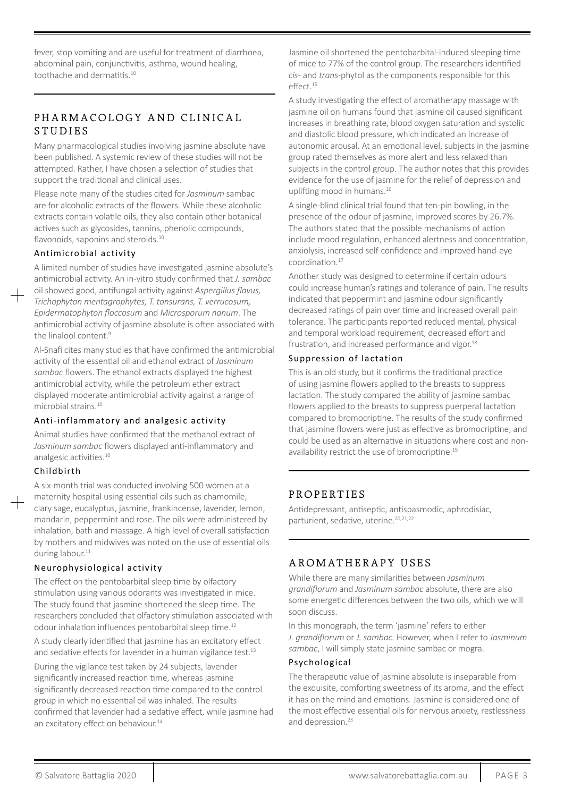fever, stop vomiting and are useful for treatment of diarrhoea, abdominal pain, conjunctivitis, asthma, wound healing, toothache and dermatitis.10

## PHARMACOLOGY AND CLINICAL STUDIES

Many pharmacological studies involving jasmine absolute have been published. A systemic review of these studies will not be attempted. Rather, I have chosen a selection of studies that support the traditional and clinical uses.

Please note many of the studies cited for *Jasminum* sambac are for alcoholic extracts of the flowers. While these alcoholic extracts contain volatile oils, they also contain other botanical actives such as glycosides, tannins, phenolic compounds, flavonoids, saponins and steroids.<sup>10</sup>

#### Antimicrobial activity

A limited number of studies have investigated jasmine absolute's antimicrobial activity. An in-vitro study confirmed that *J. sambac*

oil showed good, antifungal activity against *Aspergillus flavus, Trichophyton mentagrophytes, T. tonsurans, T. verrucosum, Epidermatophyton floccosum* and *Microsporum nanum*. The antimicrobial activity of jasmine absolute is often associated with the linalool content.<sup>9</sup>

Al-Snafi cites many studies that have confirmed the antimicrobial activity of the essential oil and ethanol extract of *Jasminum sambac* flowers. The ethanol extracts displayed the highest antimicrobial activity, while the petroleum ether extract displayed moderate antimicrobial activity against a range of microbial strains.10

#### Anti-inflammatory and analgesic activity

Animal studies have confirmed that the methanol extract of *Jasminum sambac* flowers displayed anti-inflammatory and analgesic activities.<sup>10</sup>

#### Childbirth

A six-month trial was conducted involving 500 women at a maternity hospital using essential oils such as chamomile, clary sage, eucalyptus, jasmine, frankincense, lavender, lemon, mandarin, peppermint and rose. The oils were administered by inhalation, bath and massage. A high level of overall satisfaction by mothers and midwives was noted on the use of essential oils during labour.<sup>11</sup>

#### Neurophysiological activity

The effect on the pentobarbital sleep time by olfactory stimulation using various odorants was investigated in mice. The study found that jasmine shortened the sleep time. The researchers concluded that olfactory stimulation associated with odour inhalation influences pentobarbital sleep time.12

A study clearly identified that jasmine has an excitatory effect and sedative effects for lavender in a human vigilance test.<sup>13</sup>

During the vigilance test taken by 24 subjects, lavender significantly increased reaction time, whereas jasmine significantly decreased reaction time compared to the control group in which no essential oil was inhaled. The results confirmed that lavender had a sedative effect, while jasmine had an excitatory effect on behaviour.<sup>14</sup>

Jasmine oil shortened the pentobarbital-induced sleeping time of mice to 77% of the control group. The researchers identified *cis*- and *trans*-phytol as the components responsible for this effect.15

A study investigating the effect of aromatherapy massage with jasmine oil on humans found that jasmine oil caused significant increases in breathing rate, blood oxygen saturation and systolic and diastolic blood pressure, which indicated an increase of autonomic arousal. At an emotional level, subjects in the jasmine group rated themselves as more alert and less relaxed than subjects in the control group. The author notes that this provides evidence for the use of jasmine for the relief of depression and uplifting mood in humans.<sup>16</sup>

A single-blind clinical trial found that ten-pin bowling, in the presence of the odour of jasmine, improved scores by 26.7%. The authors stated that the possible mechanisms of action include mood regulation, enhanced alertness and concentration, anxiolysis, increased self-confidence and improved hand-eye coordination.17

Another study was designed to determine if certain odours could increase human's ratings and tolerance of pain. The results indicated that peppermint and jasmine odour significantly decreased ratings of pain over time and increased overall pain tolerance. The participants reported reduced mental, physical and temporal workload requirement, decreased effort and frustration, and increased performance and vigor.<sup>18</sup>

#### Suppression of lactation

This is an old study, but it confirms the traditional practice of using jasmine flowers applied to the breasts to suppress lactation. The study compared the ability of jasmine sambac flowers applied to the breasts to suppress puerperal lactation compared to bromocriptine. The results of the study confirmed that jasmine flowers were just as effective as bromocriptine, and could be used as an alternative in situations where cost and nonavailability restrict the use of bromocriptine.<sup>19</sup>

## PROPERTIES

Antidepressant, antiseptic, antispasmodic, aphrodisiac, parturient, sedative, uterine.<sup>20,21,22</sup>

## AROMATHERAPY USES

While there are many similarities between *Jasminum grandiflorum* and *Jasminum sambac* absolute, there are also some energetic differences between the two oils, which we will soon discuss.

In this monograph, the term 'jasmine' refers to either *J. grandiflorum* or *J. sambac.* However, when I refer to *Jasminum sambac*, I will simply state jasmine sambac or mogra.

#### Psychological

The therapeutic value of jasmine absolute is inseparable from the exquisite, comforting sweetness of its aroma, and the effect it has on the mind and emotions. Jasmine is considered one of the most effective essential oils for nervous anxiety, restlessness and depression.<sup>23</sup>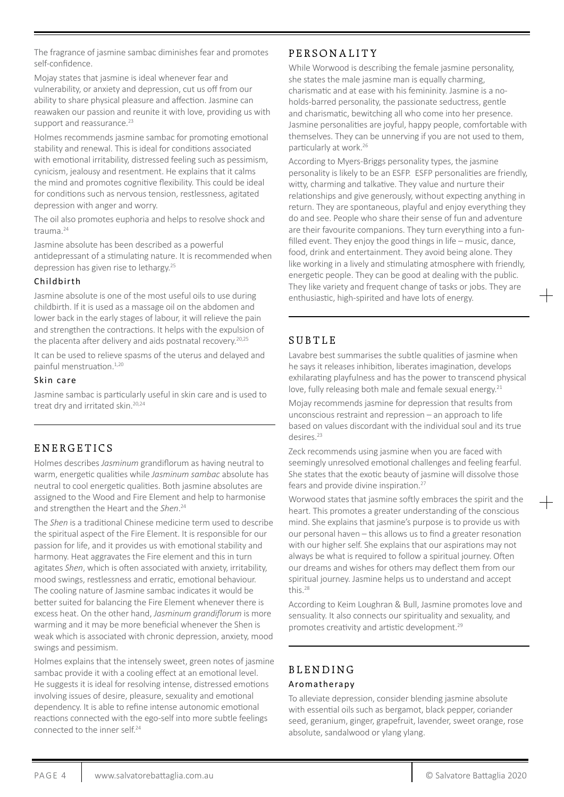The fragrance of jasmine sambac diminishes fear and promotes self-confidence.

Mojay states that jasmine is ideal whenever fear and vulnerability, or anxiety and depression, cut us off from our ability to share physical pleasure and affection. Jasmine can reawaken our passion and reunite it with love, providing us with support and reassurance.<sup>23</sup>

Holmes recommends jasmine sambac for promoting emotional stability and renewal. This is ideal for conditions associated with emotional irritability, distressed feeling such as pessimism, cynicism, jealousy and resentment. He explains that it calms the mind and promotes cognitive flexibility. This could be ideal for conditions such as nervous tension, restlessness, agitated depression with anger and worry.

The oil also promotes euphoria and helps to resolve shock and trauma.<sup>24</sup>

Jasmine absolute has been described as a powerful antidepressant of a stimulating nature. It is recommended when depression has given rise to lethargy.25

#### Childbirth

Jasmine absolute is one of the most useful oils to use during childbirth. If it is used as a massage oil on the abdomen and lower back in the early stages of labour, it will relieve the pain and strengthen the contractions. It helps with the expulsion of the placenta after delivery and aids postnatal recovery.<sup>20,25</sup>

It can be used to relieve spasms of the uterus and delayed and painful menstruation.<sup>1,20</sup>

#### Skin care

Jasmine sambac is particularly useful in skin care and is used to treat dry and irritated skin.<sup>20,24</sup>

## ENERGETICS

Holmes describes *Jasminum* grandiflorum as having neutral to warm, energetic qualities while *Jasminum sambac* absolute has neutral to cool energetic qualities. Both jasmine absolutes are assigned to the Wood and Fire Element and help to harmonise and strengthen the Heart and the *Shen*. 24

The *Shen* is a traditional Chinese medicine term used to describe the spiritual aspect of the Fire Element. It is responsible for our passion for life, and it provides us with emotional stability and harmony. Heat aggravates the Fire element and this in turn agitates *Shen*, which is often associated with anxiety, irritability, mood swings, restlessness and erratic, emotional behaviour. The cooling nature of Jasmine sambac indicates it would be better suited for balancing the Fire Element whenever there is excess heat. On the other hand, *Jasminum grandiflorum* is more warming and it may be more beneficial whenever the Shen is weak which is associated with chronic depression, anxiety, mood swings and pessimism.

Holmes explains that the intensely sweet, green notes of jasmine sambac provide it with a cooling effect at an emotional level. He suggests it is ideal for resolving intense, distressed emotions involving issues of desire, pleasure, sexuality and emotional dependency. It is able to refine intense autonomic emotional reactions connected with the ego-self into more subtle feelings connected to the inner self.<sup>24</sup>

# P E R S O N A L I T Y

While Worwood is describing the female jasmine personality, she states the male jasmine man is equally charming, charismatic and at ease with his femininity. Jasmine is a noholds-barred personality, the passionate seductress, gentle and charismatic, bewitching all who come into her presence. Jasmine personalities are joyful, happy people, comfortable with themselves. They can be unnerving if you are not used to them, particularly at work.26

According to Myers-Briggs personality types, the jasmine personality is likely to be an ESFP. ESFP personalities are friendly, witty, charming and talkative. They value and nurture their relationships and give generously, without expecting anything in return. They are spontaneous, playful and enjoy everything they do and see. People who share their sense of fun and adventure are their favourite companions. They turn everything into a funfilled event. They enjoy the good things in life – music, dance, food, drink and entertainment. They avoid being alone. They like working in a lively and stimulating atmosphere with friendly, energetic people. They can be good at dealing with the public. They like variety and frequent change of tasks or jobs. They are enthusiastic, high-spirited and have lots of energy.

# **SUBTLE**

Lavabre best summarises the subtle qualities of jasmine when he says it releases inhibition, liberates imagination, develops exhilarating playfulness and has the power to transcend physical love, fully releasing both male and female sexual energy.<sup>21</sup>

Mojay recommends jasmine for depression that results from unconscious restraint and repression – an approach to life based on values discordant with the individual soul and its true desires.<sup>23</sup>

Zeck recommends using jasmine when you are faced with seemingly unresolved emotional challenges and feeling fearful. She states that the exotic beauty of jasmine will dissolve those fears and provide divine inspiration.<sup>27</sup>

Worwood states that jasmine softly embraces the spirit and the heart. This promotes a greater understanding of the conscious mind. She explains that jasmine's purpose is to provide us with our personal haven – this allows us to find a greater resonation with our higher self. She explains that our aspirations may not always be what is required to follow a spiritual journey. Often our dreams and wishes for others may deflect them from our spiritual journey. Jasmine helps us to understand and accept this.28

According to Keim Loughran & Bull, Jasmine promotes love and sensuality. It also connects our spirituality and sexuality, and promotes creativity and artistic development.29

# **BLENDING** Aromatherapy

To alleviate depression, consider blending jasmine absolute with essential oils such as bergamot, black pepper, coriander seed, geranium, ginger, grapefruit, lavender, sweet orange, rose absolute, sandalwood or ylang ylang.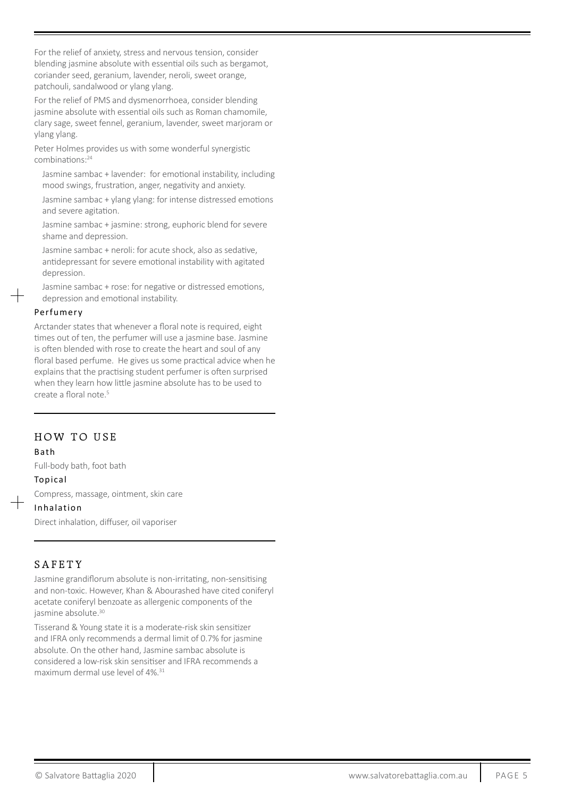For the relief of anxiety, stress and nervous tension, consider blending jasmine absolute with essential oils such as bergamot, coriander seed, geranium, lavender, neroli, sweet orange, patchouli, sandalwood or ylang ylang.

For the relief of PMS and dysmenorrhoea, consider blending jasmine absolute with essential oils such as Roman chamomile, clary sage, sweet fennel, geranium, lavender, sweet marjoram or ylang ylang.

Peter Holmes provides us with some wonderful synergistic combinations:<sup>24</sup>

Jasmine sambac + lavender: for emotional instability, including mood swings, frustration, anger, negativity and anxiety.

Jasmine sambac + ylang ylang: for intense distressed emotions and severe agitation.

Jasmine sambac + jasmine: strong, euphoric blend for severe shame and depression.

Jasmine sambac + neroli: for acute shock, also as sedative, antidepressant for severe emotional instability with agitated depression.

Jasmine sambac + rose: for negative or distressed emotions, depression and emotional instability.

#### Perfumery

Arctander states that whenever a floral note is required, eight times out of ten, the perfumer will use a jasmine base. Jasmine is often blended with rose to create the heart and soul of any floral based perfume. He gives us some practical advice when he explains that the practising student perfumer is often surprised when they learn how little jasmine absolute has to be used to create a floral note.5

## HOW TO USE

#### Bath

Full-body bath, foot bath

#### Topical

Compress, massage, ointment, skin care

#### Inhalation

Direct inhalation, diffuser, oil vaporiser

## SAFETY

Jasmine grandiflorum absolute is non-irritating, non-sensitising and non-toxic. However, Khan & Abourashed have cited coniferyl acetate coniferyl benzoate as allergenic components of the jasmine absolute.<sup>30</sup>

Tisserand & Young state it is a moderate-risk skin sensitizer and IFRA only recommends a dermal limit of 0.7% for jasmine absolute. On the other hand, Jasmine sambac absolute is considered a low-risk skin sensitiser and IFRA recommends a maximum dermal use level of 4%.<sup>31</sup>